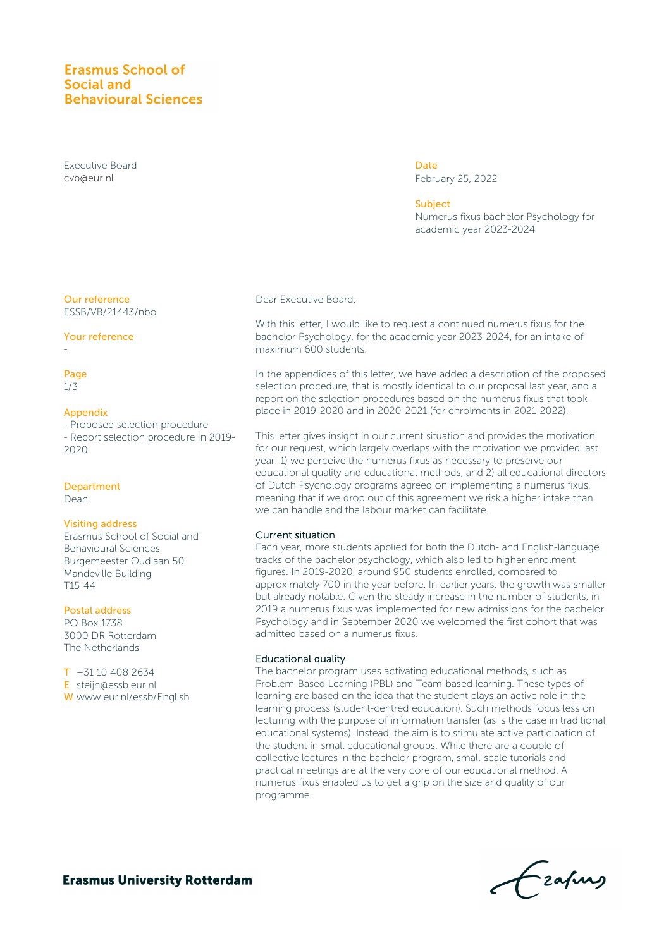# **Erasmus School of** Social and **Behavioural Sciences**

Executive Board [cvb@eur.nl](mailto:cvb@eur.nl)

#### Our reference ESSB/VB/21443/nbo

#### Your reference

# Page

-

1/3

#### Appendix

- Proposed selection procedure - Report selection procedure in 2019- 2020

#### Department

Dean

#### Visiting address

Erasmus School of Social and Behavioural Sciences Burgemeester Oudlaan 50 Mandeville Building T15-44

#### Postal address

PO Box 1738 3000 DR Rotterdam The Netherlands

T +31 10 408 2634 E steijn@essb.eur.nl W www.eur.nl/essb/English Dear Executive Board,

With this letter, I would like to request a continued numerus fixus for the bachelor Psychology, for the academic year 2023-2024, for an intake of maximum 600 students.

**Date** 

Subject

February 25, 2022

academic year 2023-2024

Numerus fixus bachelor Psychology for

In the appendices of this letter, we have added a description of the proposed selection procedure, that is mostly identical to our proposal last year, and a report on the selection procedures based on the numerus fixus that took place in 2019-2020 and in 2020-2021 (for enrolments in 2021-2022).

This letter gives insight in our current situation and provides the motivation for our request, which largely overlaps with the motivation we provided last year: 1) we perceive the numerus fixus as necessary to preserve our educational quality and educational methods, and 2) all educational directors of Dutch Psychology programs agreed on implementing a numerus fixus, meaning that if we drop out of this agreement we risk a higher intake than we can handle and the labour market can facilitate.

#### Current situation

Each year, more students applied for both the Dutch- and English-language tracks of the bachelor psychology, which also led to higher enrolment figures. In 2019-2020, around 950 students enrolled, compared to approximately 700 in the year before. In earlier years, the growth was smaller but already notable. Given the steady increase in the number of students, in 2019 a numerus fixus was implemented for new admissions for the bachelor Psychology and in September 2020 we welcomed the first cohort that was admitted based on a numerus fixus.

#### Educational quality

The bachelor program uses activating educational methods, such as Problem-Based Learning (PBL) and Team-based learning. These types of learning are based on the idea that the student plays an active role in the learning process (student-centred education). Such methods focus less on lecturing with the purpose of information transfer (as is the case in traditional educational systems). Instead, the aim is to stimulate active participation of the student in small educational groups. While there are a couple of collective lectures in the bachelor program, small-scale tutorials and practical meetings are at the very core of our educational method. A numerus fixus enabled us to get a grip on the size and quality of our programme.

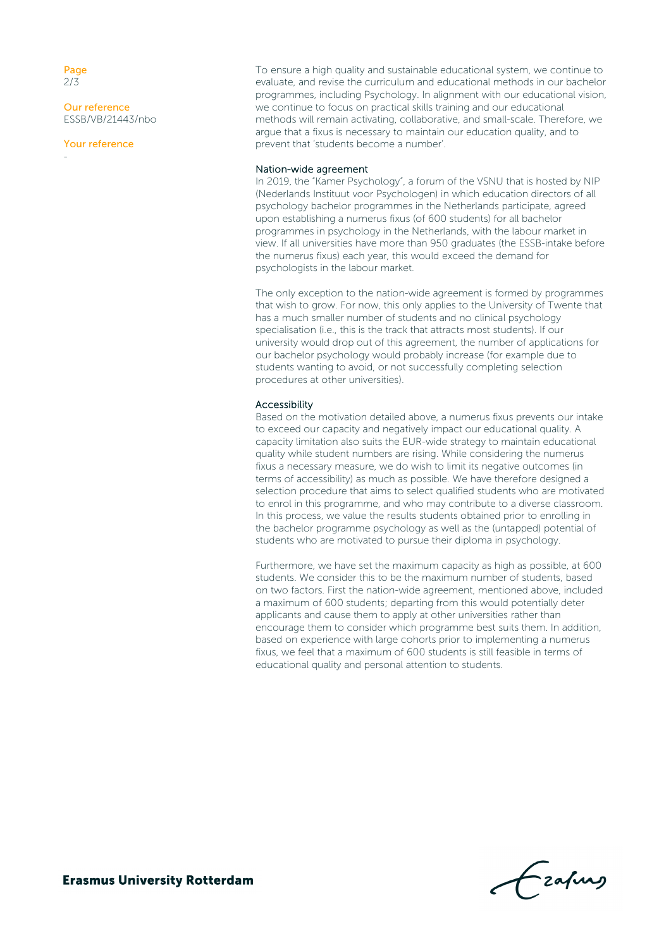Page 2/3

-

Our reference ESSB/VB/21443/nbo

Your reference

To ensure a high quality and sustainable educational system, we continue to evaluate, and revise the curriculum and educational methods in our bachelor programmes, including Psychology. In alignment with our educational vision, we continue to focus on practical skills training and our educational methods will remain activating, collaborative, and small-scale. Therefore, we argue that a fixus is necessary to maintain our education quality, and to prevent that 'students become a number'.

#### Nation-wide agreement

In 2019, the "Kamer Psychology", a forum of the VSNU that is hosted by NIP (Nederlands Instituut voor Psychologen) in which education directors of all psychology bachelor programmes in the Netherlands participate, agreed upon establishing a numerus fixus (of 600 students) for all bachelor programmes in psychology in the Netherlands, with the labour market in view. If all universities have more than 950 graduates (the ESSB-intake before the numerus fixus) each year, this would exceed the demand for psychologists in the labour market.

The only exception to the nation-wide agreement is formed by programmes that wish to grow. For now, this only applies to the University of Twente that has a much smaller number of students and no clinical psychology specialisation (i.e., this is the track that attracts most students). If our university would drop out of this agreement, the number of applications for our bachelor psychology would probably increase (for example due to students wanting to avoid, or not successfully completing selection procedures at other universities).

#### Accessibility

Based on the motivation detailed above, a numerus fixus prevents our intake to exceed our capacity and negatively impact our educational quality. A capacity limitation also suits the EUR-wide strategy to maintain educational quality while student numbers are rising. While considering the numerus fixus a necessary measure, we do wish to limit its negative outcomes (in terms of accessibility) as much as possible. We have therefore designed a selection procedure that aims to select qualified students who are motivated to enrol in this programme, and who may contribute to a diverse classroom. In this process, we value the results students obtained prior to enrolling in the bachelor programme psychology as well as the (untapped) potential of students who are motivated to pursue their diploma in psychology.

Furthermore, we have set the maximum capacity as high as possible, at 600 students. We consider this to be the maximum number of students, based on two factors. First the nation-wide agreement, mentioned above, included a maximum of 600 students; departing from this would potentially deter applicants and cause them to apply at other universities rather than encourage them to consider which programme best suits them. In addition, based on experience with large cohorts prior to implementing a numerus fixus, we feel that a maximum of 600 students is still feasible in terms of educational quality and personal attention to students.

Frahing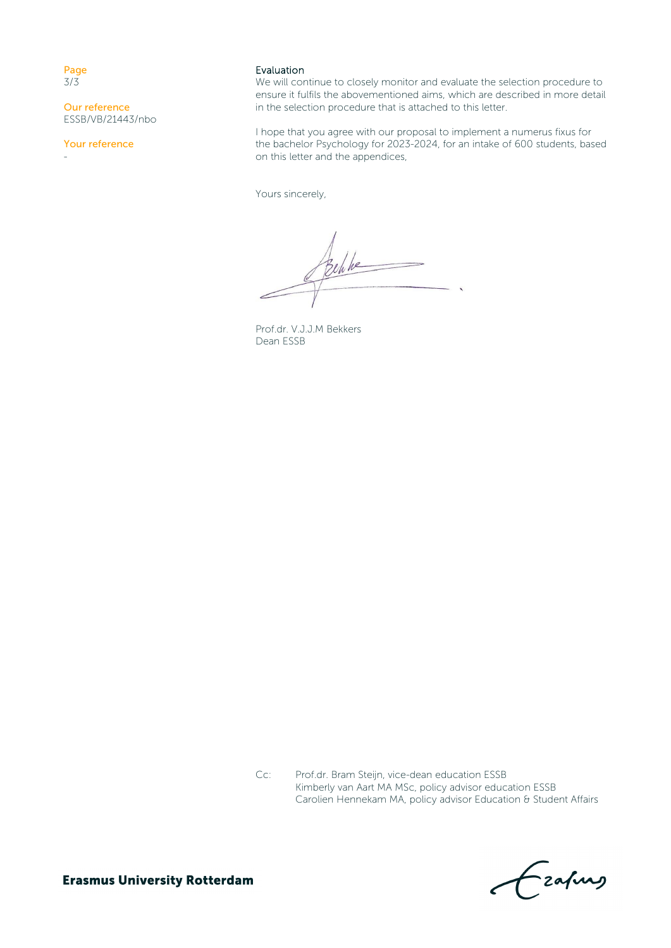Page 3/3

-

Our reference ESSB/VB/21443/nbo

Your reference

#### Evaluation

We will continue to closely monitor and evaluate the selection procedure to ensure it fulfils the abovementioned aims, which are described in more detail in the selection procedure that is attached to this letter.

I hope that you agree with our proposal to implement a numerus fixus for the bachelor Psychology for 2023-2024, for an intake of 600 students, based on this letter and the appendices,

Yours sincerely,

Behke

Prof.dr. V.J.J.M Bekkers Dean ESSB

Cc: Prof.dr. Bram Steijn, vice-dean education ESSB Kimberly van Aart MA MSc, policy advisor education ESSB Carolien Hennekam MA, policy advisor Education & Student Affairs

Eafurs

**Erasmus University Rotterdam**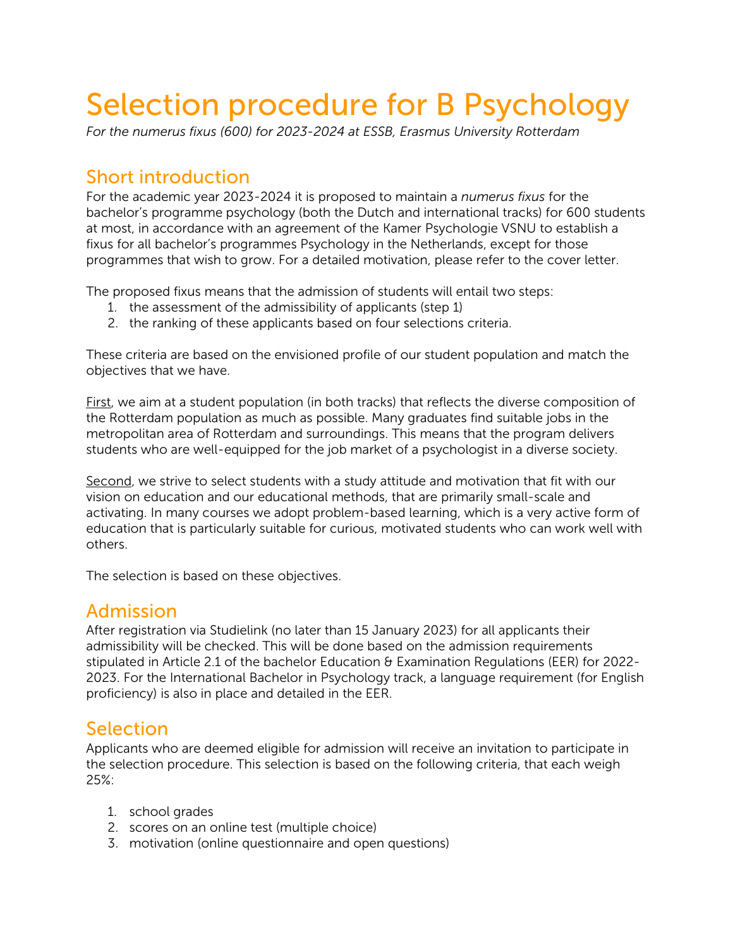# Selection procedure for B Psychology

*For the numerus fixus (600) for 2023-2024 at ESSB, Erasmus University Rotterdam*

# Short introduction

For the academic year 2023-2024 it is proposed to maintain a *numerus fixus* for the bachelor's programme psychology (both the Dutch and international tracks) for 600 students at most, in accordance with an agreement of the Kamer Psychologie VSNU to establish a fixus for all bachelor's programmes Psychology in the Netherlands, except for those programmes that wish to grow. For a detailed motivation, please refer to the cover letter.

The proposed fixus means that the admission of students will entail two steps:

- 1. the assessment of the admissibility of applicants (step 1)
- 2. the ranking of these applicants based on four selections criteria.

These criteria are based on the envisioned profile of our student population and match the objectives that we have.

First, we aim at a student population (in both tracks) that reflects the diverse composition of the Rotterdam population as much as possible. Many graduates find suitable jobs in the metropolitan area of Rotterdam and surroundings. This means that the program delivers students who are well-equipped for the job market of a psychologist in a diverse society.

Second, we strive to select students with a study attitude and motivation that fit with our vision on education and our educational methods, that are primarily small-scale and activating. In many courses we adopt problem-based learning, which is a very active form of education that is particularly suitable for curious, motivated students who can work well with others.

The selection is based on these objectives.

# Admission

After registration via Studielink (no later than 15 January 2023) for all applicants their admissibility will be checked. This will be done based on the admission requirements stipulated in Article 2.1 of the bachelor Education & Examination Regulations (EER) for 2022- 2023. For the International Bachelor in Psychology track, a language requirement (for English proficiency) is also in place and detailed in the EER.

# Selection

Applicants who are deemed eligible for admission will receive an invitation to participate in the selection procedure. This selection is based on the following criteria, that each weigh 25%:

- 1. school grades
- 2. scores on an online test (multiple choice)
- 3. motivation (online questionnaire and open questions)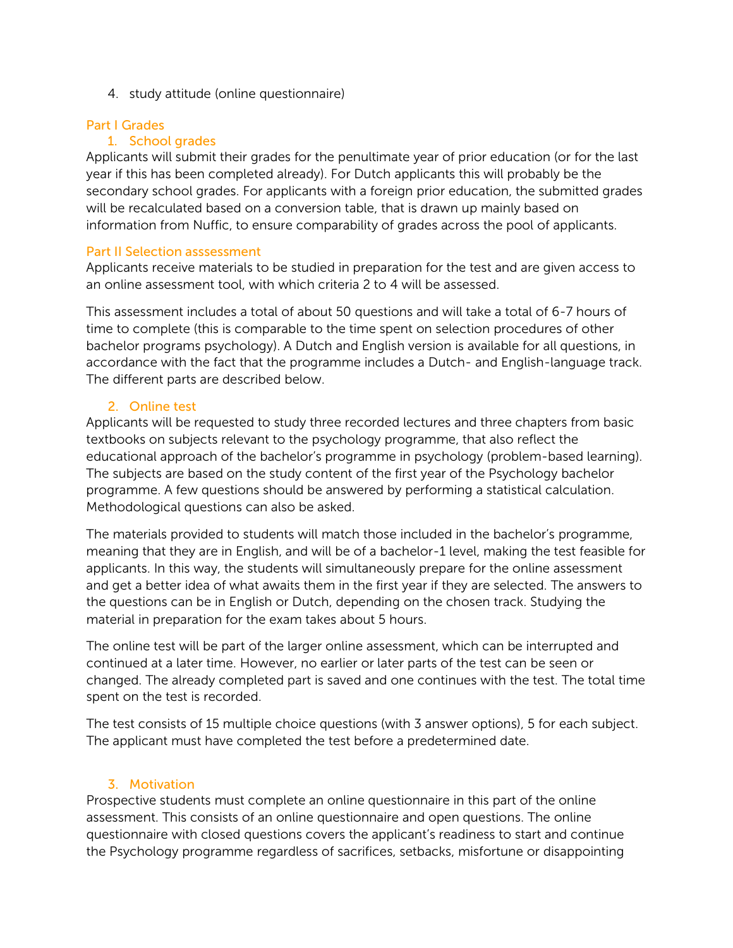4. study attitude (online questionnaire)

## Part I Grades

# 1. School grades

Applicants will submit their grades for the penultimate year of prior education (or for the last year if this has been completed already). For Dutch applicants this will probably be the secondary school grades. For applicants with a foreign prior education, the submitted grades will be recalculated based on a conversion table, that is drawn up mainly based on information from Nuffic, to ensure comparability of grades across the pool of applicants.

## Part II Selection asssessment

Applicants receive materials to be studied in preparation for the test and are given access to an online assessment tool, with which criteria 2 to 4 will be assessed.

This assessment includes a total of about 50 questions and will take a total of 6-7 hours of time to complete (this is comparable to the time spent on selection procedures of other bachelor programs psychology). A Dutch and English version is available for all questions, in accordance with the fact that the programme includes a Dutch- and English-language track. The different parts are described below.

# 2. Online test

Applicants will be requested to study three recorded lectures and three chapters from basic textbooks on subjects relevant to the psychology programme, that also reflect the educational approach of the bachelor's programme in psychology (problem-based learning). The subjects are based on the study content of the first year of the Psychology bachelor programme. A few questions should be answered by performing a statistical calculation. Methodological questions can also be asked.

The materials provided to students will match those included in the bachelor's programme, meaning that they are in English, and will be of a bachelor-1 level, making the test feasible for applicants. In this way, the students will simultaneously prepare for the online assessment and get a better idea of what awaits them in the first year if they are selected. The answers to the questions can be in English or Dutch, depending on the chosen track. Studying the material in preparation for the exam takes about 5 hours.

The online test will be part of the larger online assessment, which can be interrupted and continued at a later time. However, no earlier or later parts of the test can be seen or changed. The already completed part is saved and one continues with the test. The total time spent on the test is recorded.

The test consists of 15 multiple choice questions (with 3 answer options), 5 for each subject. The applicant must have completed the test before a predetermined date.

## 3. Motivation

Prospective students must complete an online questionnaire in this part of the online assessment. This consists of an online questionnaire and open questions. The online questionnaire with closed questions covers the applicant's readiness to start and continue the Psychology programme regardless of sacrifices, setbacks, misfortune or disappointing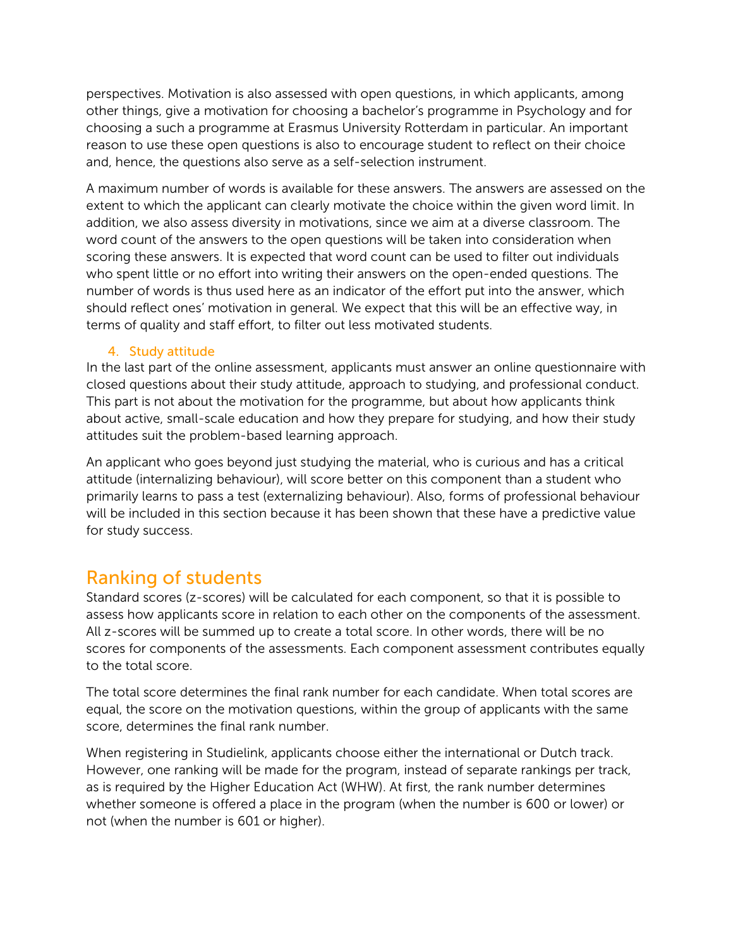perspectives. Motivation is also assessed with open questions, in which applicants, among other things, give a motivation for choosing a bachelor's programme in Psychology and for choosing a such a programme at Erasmus University Rotterdam in particular. An important reason to use these open questions is also to encourage student to reflect on their choice and, hence, the questions also serve as a self-selection instrument.

A maximum number of words is available for these answers. The answers are assessed on the extent to which the applicant can clearly motivate the choice within the given word limit. In addition, we also assess diversity in motivations, since we aim at a diverse classroom. The word count of the answers to the open questions will be taken into consideration when scoring these answers. It is expected that word count can be used to filter out individuals who spent little or no effort into writing their answers on the open-ended questions. The number of words is thus used here as an indicator of the effort put into the answer, which should reflect ones' motivation in general. We expect that this will be an effective way, in terms of quality and staff effort, to filter out less motivated students.

# 4. Study attitude

In the last part of the online assessment, applicants must answer an online questionnaire with closed questions about their study attitude, approach to studying, and professional conduct. This part is not about the motivation for the programme, but about how applicants think about active, small-scale education and how they prepare for studying, and how their study attitudes suit the problem-based learning approach.

An applicant who goes beyond just studying the material, who is curious and has a critical attitude (internalizing behaviour), will score better on this component than a student who primarily learns to pass a test (externalizing behaviour). Also, forms of professional behaviour will be included in this section because it has been shown that these have a predictive value for study success.

# Ranking of students

Standard scores (z-scores) will be calculated for each component, so that it is possible to assess how applicants score in relation to each other on the components of the assessment. All z-scores will be summed up to create a total score. In other words, there will be no scores for components of the assessments. Each component assessment contributes equally to the total score.

The total score determines the final rank number for each candidate. When total scores are equal, the score on the motivation questions, within the group of applicants with the same score, determines the final rank number.

When registering in Studielink, applicants choose either the international or Dutch track. However, one ranking will be made for the program, instead of separate rankings per track, as is required by the Higher Education Act (WHW). At first, the rank number determines whether someone is offered a place in the program (when the number is 600 or lower) or not (when the number is 601 or higher).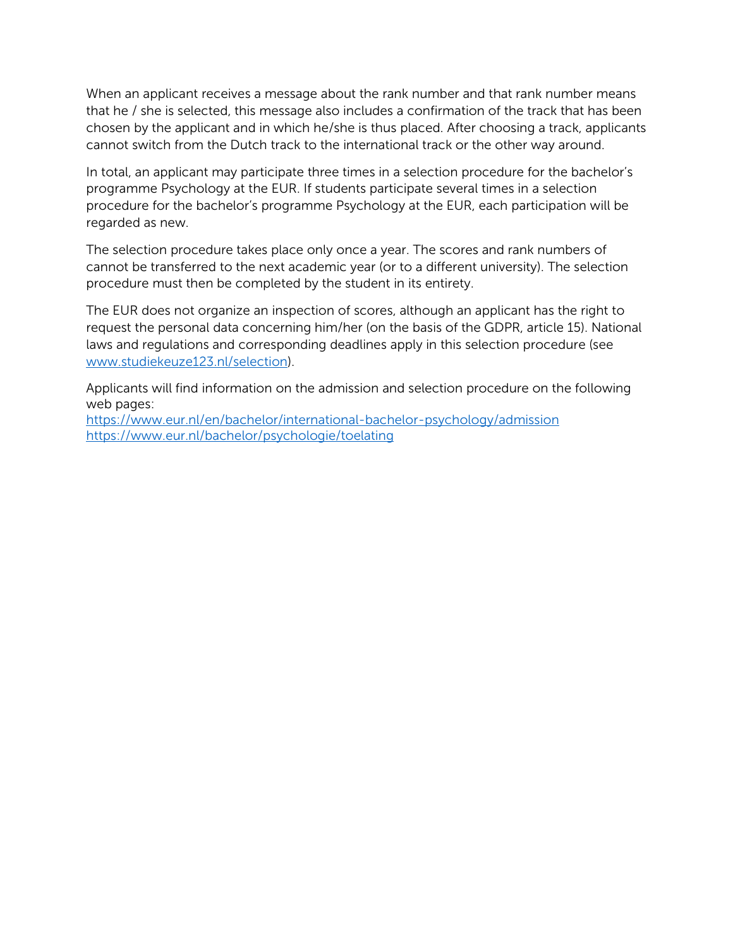When an applicant receives a message about the rank number and that rank number means that he / she is selected, this message also includes a confirmation of the track that has been chosen by the applicant and in which he/she is thus placed. After choosing a track, applicants cannot switch from the Dutch track to the international track or the other way around.

In total, an applicant may participate three times in a selection procedure for the bachelor's programme Psychology at the EUR. If students participate several times in a selection procedure for the bachelor's programme Psychology at the EUR, each participation will be regarded as new.

The selection procedure takes place only once a year. The scores and rank numbers of cannot be transferred to the next academic year (or to a different university). The selection procedure must then be completed by the student in its entirety.

The EUR does not organize an inspection of scores, although an applicant has the right to request the personal data concerning him/her (on the basis of the GDPR, article 15). National laws and regulations and corresponding deadlines apply in this selection procedure (see [www.studiekeuze123.nl/selection\)](http://www.studiekeuze123.nl/selection).

Applicants will find information on the admission and selection procedure on the following web pages:

<https://www.eur.nl/en/bachelor/international-bachelor-psychology/admission> <https://www.eur.nl/bachelor/psychologie/toelating>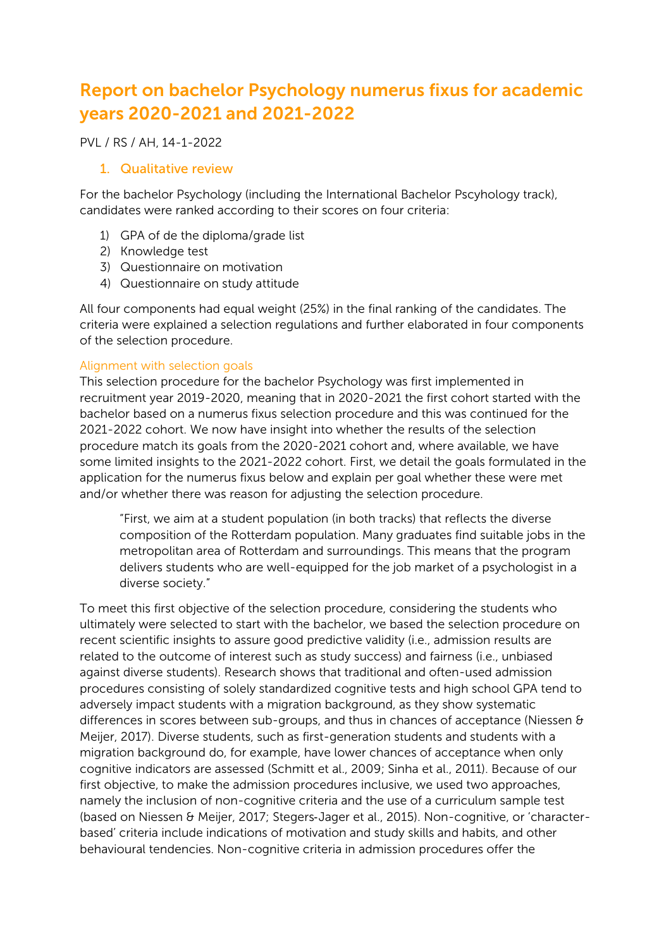# Report on bachelor Psychology numerus fixus for academic years 2020-2021 and 2021-2022

PVL / RS / AH, 14-1-2022

# 1. Qualitative review

For the bachelor Psychology (including the International Bachelor Pscyhology track), candidates were ranked according to their scores on four criteria:

- 1) GPA of de the diploma/grade list
- 2) Knowledge test
- 3) Questionnaire on motivation
- 4) Questionnaire on study attitude

All four components had equal weight (25%) in the final ranking of the candidates. The criteria were explained a selection regulations and further elaborated in four components of the selection procedure.

# Alignment with selection goals

This selection procedure for the bachelor Psychology was first implemented in recruitment year 2019-2020, meaning that in 2020-2021 the first cohort started with the bachelor based on a numerus fixus selection procedure and this was continued for the 2021-2022 cohort. We now have insight into whether the results of the selection procedure match its goals from the 2020-2021 cohort and, where available, we have some limited insights to the 2021-2022 cohort. First, we detail the goals formulated in the application for the numerus fixus below and explain per goal whether these were met and/or whether there was reason for adjusting the selection procedure.

"First, we aim at a student population (in both tracks) that reflects the diverse composition of the Rotterdam population. Many graduates find suitable jobs in the metropolitan area of Rotterdam and surroundings. This means that the program delivers students who are well-equipped for the job market of a psychologist in a diverse society."

To meet this first objective of the selection procedure, considering the students who ultimately were selected to start with the bachelor, we based the selection procedure on recent scientific insights to assure good predictive validity (i.e., admission results are related to the outcome of interest such as study success) and fairness (i.e., unbiased against diverse students). Research shows that traditional and often-used admission procedures consisting of solely standardized cognitive tests and high school GPA tend to adversely impact students with a migration background, as they show systematic differences in scores between sub-groups, and thus in chances of acceptance (Niessen  $\theta$ Meijer, 2017). Diverse students, such as first-generation students and students with a migration background do, for example, have lower chances of acceptance when only cognitive indicators are assessed (Schmitt et al., 2009; Sinha et al., 2011). Because of our first objective, to make the admission procedures inclusive, we used two approaches, namely the inclusion of non-cognitive criteria and the use of a curriculum sample test (based on Niessen & Meijer, 2017; Stegers‐Jager et al., 2015). Non-cognitive, or 'characterbased' criteria include indications of motivation and study skills and habits, and other behavioural tendencies. Non-cognitive criteria in admission procedures offer the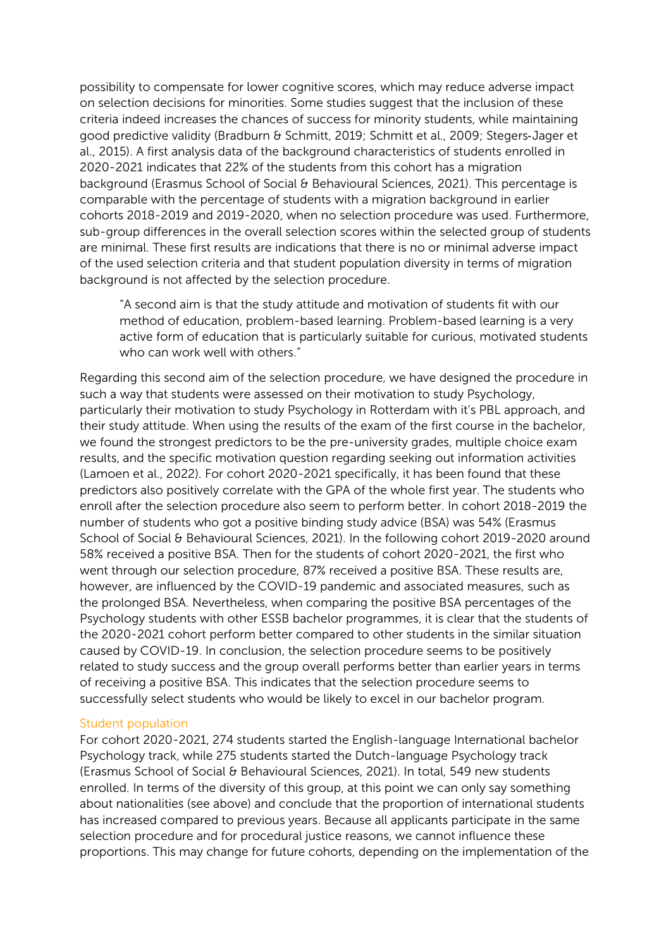possibility to compensate for lower cognitive scores, which may reduce adverse impact on selection decisions for minorities. Some studies suggest that the inclusion of these criteria indeed increases the chances of success for minority students, while maintaining good predictive validity (Bradburn & Schmitt, 2019; Schmitt et al., 2009; Stegers‐Jager et al., 2015). A first analysis data of the background characteristics of students enrolled in 2020-2021 indicates that 22% of the students from this cohort has a migration background (Erasmus School of Social & Behavioural Sciences, 2021). This percentage is comparable with the percentage of students with a migration background in earlier cohorts 2018-2019 and 2019-2020, when no selection procedure was used. Furthermore, sub-group differences in the overall selection scores within the selected group of students are minimal. These first results are indications that there is no or minimal adverse impact of the used selection criteria and that student population diversity in terms of migration background is not affected by the selection procedure.

"A second aim is that the study attitude and motivation of students fit with our method of education, problem-based learning. Problem-based learning is a very active form of education that is particularly suitable for curious, motivated students who can work well with others."

Regarding this second aim of the selection procedure, we have designed the procedure in such a way that students were assessed on their motivation to study Psychology, particularly their motivation to study Psychology in Rotterdam with it's PBL approach, and their study attitude. When using the results of the exam of the first course in the bachelor, we found the strongest predictors to be the pre-university grades, multiple choice exam results, and the specific motivation question regarding seeking out information activities (Lamoen et al., 2022). For cohort 2020-2021 specifically, it has been found that these predictors also positively correlate with the GPA of the whole first year. The students who enroll after the selection procedure also seem to perform better. In cohort 2018-2019 the number of students who got a positive binding study advice (BSA) was 54% (Erasmus School of Social & Behavioural Sciences, 2021). In the following cohort 2019-2020 around 58% received a positive BSA. Then for the students of cohort 2020-2021, the first who went through our selection procedure, 87% received a positive BSA. These results are, however, are influenced by the COVID-19 pandemic and associated measures, such as the prolonged BSA. Nevertheless, when comparing the positive BSA percentages of the Psychology students with other ESSB bachelor programmes, it is clear that the students of the 2020-2021 cohort perform better compared to other students in the similar situation caused by COVID-19. In conclusion, the selection procedure seems to be positively related to study success and the group overall performs better than earlier years in terms of receiving a positive BSA. This indicates that the selection procedure seems to successfully select students who would be likely to excel in our bachelor program.

#### Student population

For cohort 2020-2021, 274 students started the English-language International bachelor Psychology track, while 275 students started the Dutch-language Psychology track (Erasmus School of Social & Behavioural Sciences, 2021). In total, 549 new students enrolled. In terms of the diversity of this group, at this point we can only say something about nationalities (see above) and conclude that the proportion of international students has increased compared to previous years. Because all applicants participate in the same selection procedure and for procedural justice reasons, we cannot influence these proportions. This may change for future cohorts, depending on the implementation of the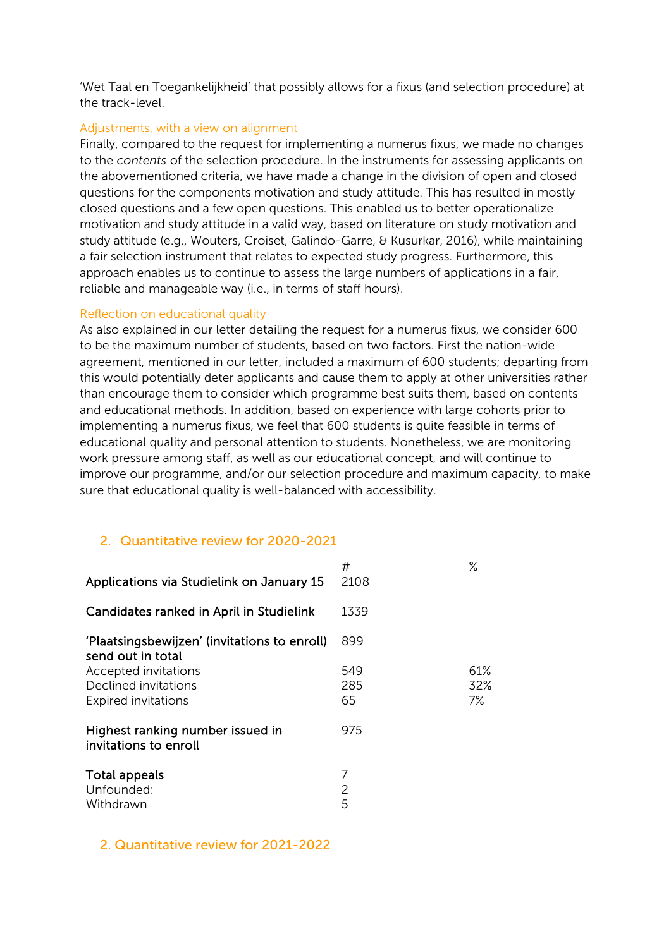'Wet Taal en Toegankelijkheid' that possibly allows for a fixus (and selection procedure) at the track-level.

#### Adjustments, with a view on alignment

Finally, compared to the request for implementing a numerus fixus, we made no changes to the *contents* of the selection procedure. In the instruments for assessing applicants on the abovementioned criteria, we have made a change in the division of open and closed questions for the components motivation and study attitude. This has resulted in mostly closed questions and a few open questions. This enabled us to better operationalize motivation and study attitude in a valid way, based on literature on study motivation and study attitude (e.g., Wouters, Croiset, Galindo-Garre, & Kusurkar, 2016), while maintaining a fair selection instrument that relates to expected study progress. Furthermore, this approach enables us to continue to assess the large numbers of applications in a fair, reliable and manageable way (i.e., in terms of staff hours).

#### Reflection on educational quality

As also explained in our letter detailing the request for a numerus fixus, we consider 600 to be the maximum number of students, based on two factors. First the nation-wide agreement, mentioned in our letter, included a maximum of 600 students; departing from this would potentially deter applicants and cause them to apply at other universities rather than encourage them to consider which programme best suits them, based on contents and educational methods. In addition, based on experience with large cohorts prior to implementing a numerus fixus, we feel that 600 students is quite feasible in terms of educational quality and personal attention to students. Nonetheless, we are monitoring work pressure among staff, as well as our educational concept, and will continue to improve our programme, and/or our selection procedure and maximum capacity, to make sure that educational quality is well-balanced with accessibility.

# 2. Quantitative review for 2020-2021

| Applications via Studielink on January 15                                  | #<br>2108        | ℅                |
|----------------------------------------------------------------------------|------------------|------------------|
| Candidates ranked in April in Studielink                                   | 1339             |                  |
| 'Plaatsingsbewijzen' (invitations to enroll)<br>send out in total          | 899              |                  |
| Accepted invitations<br>Declined invitations<br><b>Expired invitations</b> | 549<br>285<br>65 | 61%<br>32%<br>7% |
| Highest ranking number issued in<br>invitations to enroll                  | 975              |                  |
| Total appeals<br>Unfounded:<br>Withdrawn                                   | 7<br>2<br>5      |                  |

## 2. Quantitative review for 2021-2022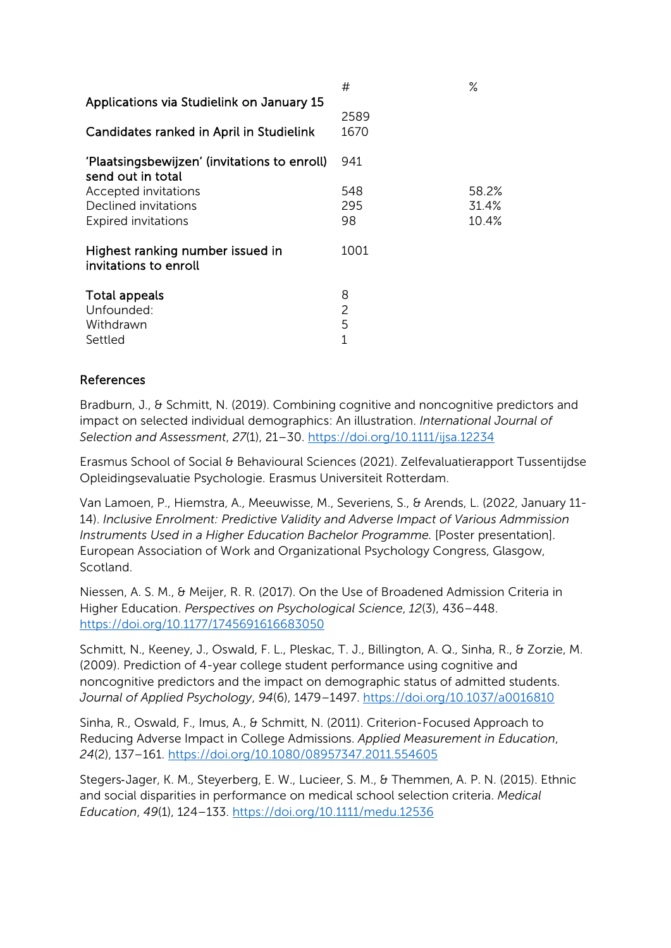| Applications via Studielink on January 15                         | #                             | $\%$  |
|-------------------------------------------------------------------|-------------------------------|-------|
| Candidates ranked in April in Studielink                          | 2589<br>1670                  |       |
| 'Plaatsingsbewijzen' (invitations to enroll)<br>send out in total | 941                           |       |
| Accepted invitations                                              | 548                           | 58.2% |
| Declined invitations                                              | 295                           | 31.4% |
| <b>Expired invitations</b>                                        | 98                            | 10.4% |
| Highest ranking number issued in<br>invitations to enroll         | 1001                          |       |
| Total appeals<br>Unfounded:<br>Withdrawn<br>Settled               | 8<br>2<br>5<br>$\overline{1}$ |       |
|                                                                   |                               |       |

# References

Bradburn, J., & Schmitt, N. (2019). Combining cognitive and noncognitive predictors and impact on selected individual demographics: An illustration. *International Journal of Selection and Assessment*, *27*(1), 21–30.<https://doi.org/10.1111/ijsa.12234>

Erasmus School of Social & Behavioural Sciences (2021). Zelfevaluatierapport Tussentijdse Opleidingsevaluatie Psychologie. Erasmus Universiteit Rotterdam.

Van Lamoen, P., Hiemstra, A., Meeuwisse, M., Severiens, S., & Arends, L. (2022, January 11- 14). *Inclusive Enrolment: Predictive Validity and Adverse Impact of Various Admmission Instruments Used in a Higher Education Bachelor Programme.* [Poster presentation]. European Association of Work and Organizational Psychology Congress, Glasgow, Scotland.

Niessen, A. S. M., & Meijer, R. R. (2017). On the Use of Broadened Admission Criteria in Higher Education. *Perspectives on Psychological Science*, *12*(3), 436–448. <https://doi.org/10.1177/1745691616683050>

Schmitt, N., Keeney, J., Oswald, F. L., Pleskac, T. J., Billington, A. Q., Sinha, R., & Zorzie, M. (2009). Prediction of 4-year college student performance using cognitive and noncognitive predictors and the impact on demographic status of admitted students. *Journal of Applied Psychology*, *94*(6), 1479–1497.<https://doi.org/10.1037/a0016810>

Sinha, R., Oswald, F., Imus, A., & Schmitt, N. (2011). Criterion-Focused Approach to Reducing Adverse Impact in College Admissions. *Applied Measurement in Education*, *24*(2), 137–161.<https://doi.org/10.1080/08957347.2011.554605>

Stegers‐Jager, K. M., Steyerberg, E. W., Lucieer, S. M., & Themmen, A. P. N. (2015). Ethnic and social disparities in performance on medical school selection criteria. *Medical Education*, *49*(1), 124–133.<https://doi.org/10.1111/medu.12536>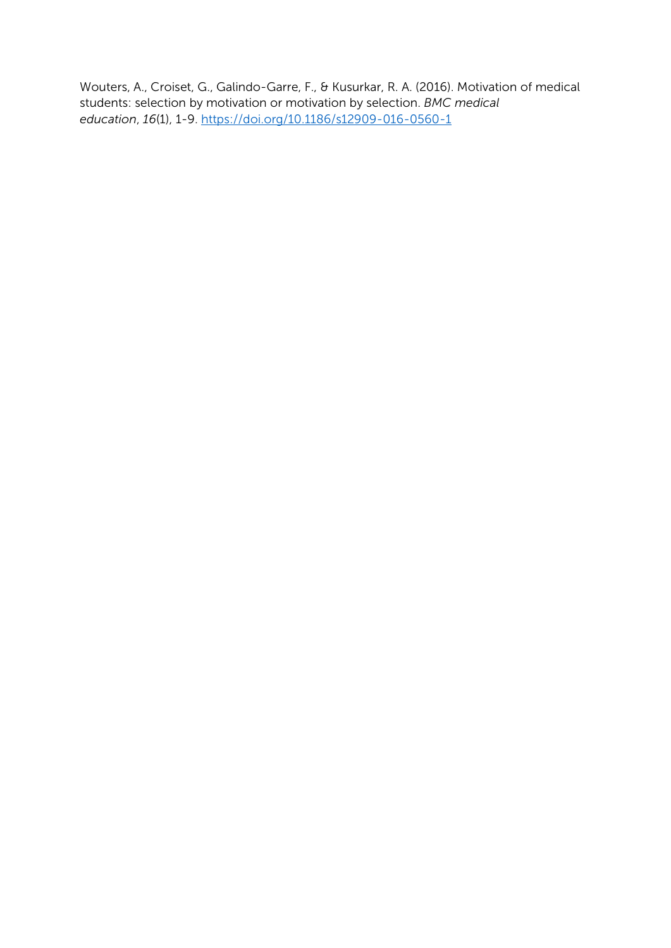Wouters, A., Croiset, G., Galindo-Garre, F., & Kusurkar, R. A. (2016). Motivation of medical students: selection by motivation or motivation by selection. *BMC medical education*, *16*(1), 1-9.<https://doi.org/10.1186/s12909-016-0560-1>